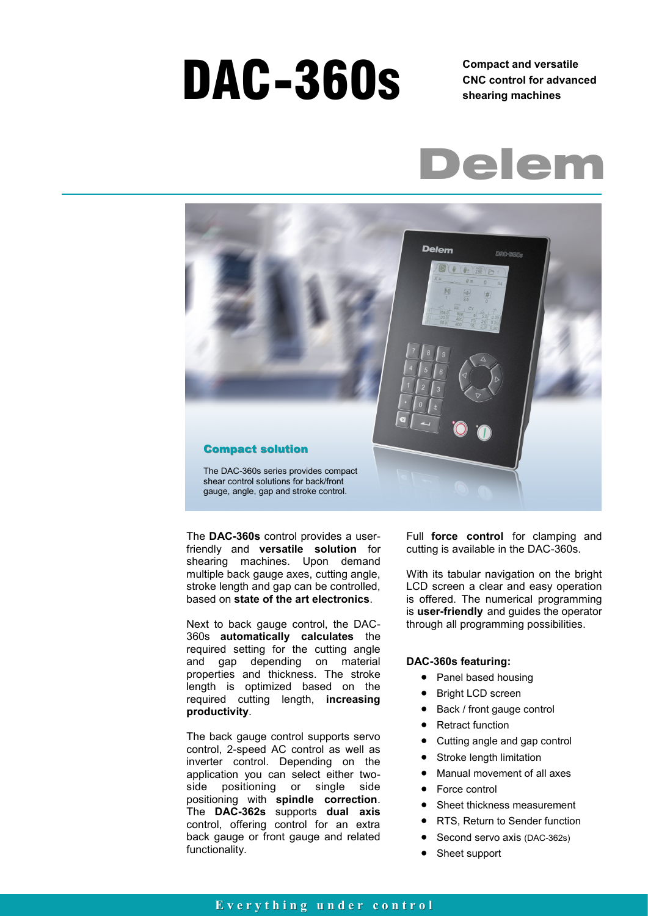# DAC-360s **Compact and versatile**

**CNC control for advanced shearing machines** 





The **DAC-360s** control provides a userfriendly and **versatile solution** for shearing machines. Upon demand multiple back gauge axes, cutting angle, stroke length and gap can be controlled, based on **state of the art electronics**.

Next to back gauge control, the DAC-360s **automatically calculates** the required setting for the cutting angle and gap depending on material properties and thickness. The stroke length is optimized based on the required cutting length, **increasing productivity**.

The back gauge control supports servo control, 2-speed AC control as well as inverter control. Depending on the application you can select either twoside positioning or single side positioning with **spindle correction**. The **DAC-362s** supports **dual axis**  control, offering control for an extra back gauge or front gauge and related functionality.

Full **force control** for clamping and cutting is available in the DAC-360s.

With its tabular navigation on the bright LCD screen a clear and easy operation is offered. The numerical programming is **user-friendly** and guides the operator through all programming possibilities.

#### **DAC-360s featuring:**

- Panel based housing
- Bright LCD screen
- Back / front gauge control
- Retract function
- Cutting angle and gap control
- Stroke length limitation
- Manual movement of all axes
- Force control
- Sheet thickness measurement
- RTS, Return to Sender function
- Second servo axis (DAC-362s)
- Sheet support